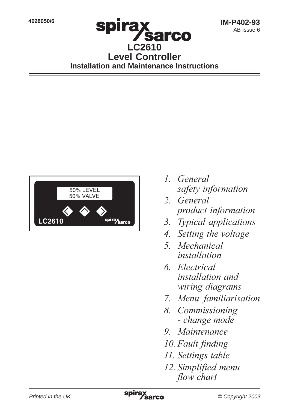**4028050/6**

### spirax **Sarco LC2610 Level Controller Installation and Maintenance Instructions**



- 1. General safety information
- 2. General product information
- 3. Typical applications
- 4. Setting the voltage
- 5. Mechanical *installation*
- 6. Electrical *installation and* wiring diagrams
- 7. Menu familiarisation
- 8. Commissioning - *change mode*
- 9. Maintenance
- 10. Fault finding
- 11. Settings table
- 12. Simplified menu *flow chart*

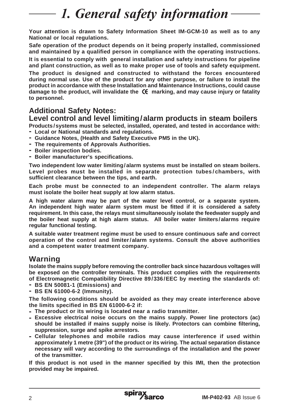## 1. General safety information

**Your attention is drawn to Safety Information Sheet IM-GCM-10 as well as to any National or local regulations.**

**Safe operation of the product depends on it being properly installed, commissioned and maintained by a qualified person in compliance with the operating instructions.**

**It is essential to comply with general installation and safety instructions for pipeline and plant construction, as well as to make proper use of tools and safety equipment.**

**The product is designed and constructed to withstand the forces encountered during normal use. Use of the product for any other purpose, or failure to install the product in accordance with these Installation and Maintenance Instructions, could cause** damage to the product, will invalidate the  $\mathsf{C}\mathsf{C}\mathsf{C}$  marking, and may cause injury or fatality **to personnel.**

#### **Additional Safety Notes:**

#### **Level control and level limiting/alarm products in steam boilers**

**Products /systems must be selected, installed, operated, and tested in accordance with: - Local or National standards and regulations.**

- **- Guidance Notes, (Health and Safety Executive PM5 in the UK).**
- **- The requirements of Approvals Authorities.**
- **- Boiler inspection bodies.**
- **- Boiler manufacturer's specifications.**

**Two independent low water limiting/alarm systems must be installed on steam boilers. Level probes must be installed in separate protection tubes/chambers, with sufficient clearance between the tips, and earth.**

**Each probe must be connected to an independent controller. The alarm relays must isolate the boiler heat supply at low alarm status.**

**A high water alarm may be part of the water level control, or a separate system. An independent high water alarm system must be fitted if it is considered a safety requirement. In this case, the relays must simultaneously isolate the feedwater supply and the boiler heat supply at high alarm status. All boiler water limiters/alarms require regular functional testing.**

**A suitable water treatment regime must be used to ensure continuous safe and correct operation of the control and limiter/alarm systems. Consult the above authorities and a competent water treatment company.**

#### **Warning**

**Isolate the mains supply before removing the controller back since hazardous voltages will be exposed on the controller terminals. This product complies with the requirements of Electromagnetic Compatibility Directive 89/336/EEC by meeting the standards of:**

- **- BS EN 50081-1 (Emissions) and**
- **- BS EN 61000-6-2 (Immunity).**

**The following conditions should be avoided as they may create interference above the limits specified in BS EN 61000-6-2 if:**

- **- The product or its wiring is located near a radio transmitter.**
- **- Excessive electrical noise occurs on the mains supply. Power line protectors (ac) should be installed if mains supply noise is likely. Protectors can combine filtering, suppression, surge and spike arrestors.**
- **- Cellular telephones and mobile radios may cause interference if used within approximately 1 metre (39") of the product or its wiring. The actual separation distance necessary will vary according to the surroundings of the installation and the power of the transmitter.**

**If this product is not used in the manner specified by this IMI, then the protection provided may be impaired.**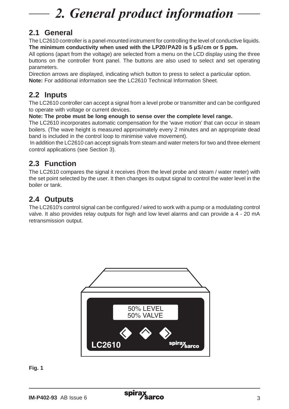## 2. General product information

### **2.1 General**

The LC2610 controller is a panel-mounted instrument for controlling the level of conductive liquids. **The minimum conductivity when used with the LP20/PA20 is 5 µS/cm or 5 ppm.**

All options (apart from the voltage) are selected from a menu on the LCD display using the three buttons on the controller front panel. The buttons are also used to select and set operating parameters.

Direction arrows are displayed, indicating which button to press to select a particular option. **Note:** For additional information see the LC2610 Technical Information Sheet.

#### **2.2 Inputs**

The LC2610 controller can accept a signal from a level probe or transmitter and can be configured to operate with voltage or current devices.

**Note: The probe must be long enough to sense over the complete level range.**

The LC2610 incorporates automatic compensation for the 'wave motion' that can occur in steam boilers. (The wave height is measured approximately every 2 minutes and an appropriate dead band is included in the control loop to minimise valve movement).

 In addition the LC2610 can accept signals from steam and water meters for two and three element control applications (see Section 3).

### **2.3 Function**

The LC2610 compares the signal it receives (from the level probe and steam / water meter) with the set point selected by the user. It then changes its output signal to control the water level in the boiler or tank.

### **2.4 Outputs**

The LC2610's control signal can be configured / wired to work with a pump or a modulating control valve. It also provides relay outputs for high and low level alarms and can provide a 4 - 20 mA retransmission output.



**Fig. 1**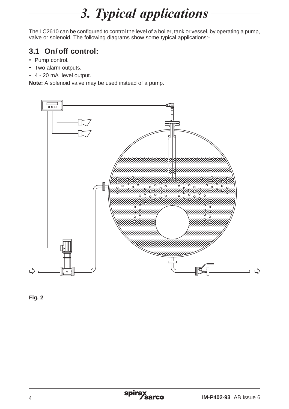## 3. Typical applications

The LC2610 can be configured to control the level of a boiler, tank or vessel, by operating a pump, valve or solenoid. The following diagrams show some typical applications:-

### **3.1 On/off control:**

- **-** Pump control.
- **-** Two alarm outputs.
- **-** 4 20 mA level output.

**Note:** A solenoid valve may be used instead of a pump.



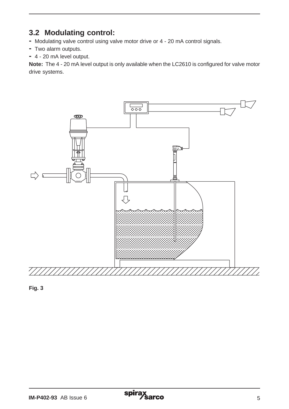### **3.2 Modulating control:**

- **-** Modulating valve control using valve motor drive or 4 20 mA control signals.
- **-** Two alarm outputs.
- **-** 4 20 mA level output.

**Note:** The 4 - 20 mA level output is only available when the LC2610 is configured for valve motor drive systems.



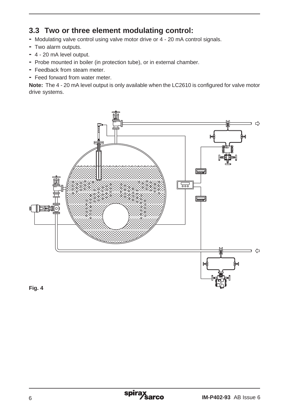### **3.3 Two or three element modulating control:**

- **-** Modulating valve control using valve motor drive or 4 20 mA control signals.
- **-** Two alarm outputs.
- **-** 4 20 mA level output.
- **-** Probe mounted in boiler (in protection tube), or in external chamber.
- **-** Feedback from steam meter.
- **-** Feed forward from water meter.

**Note:** The 4 - 20 mA level output is only available when the LC2610 is configured for valve motor drive systems.



**Fig. 4**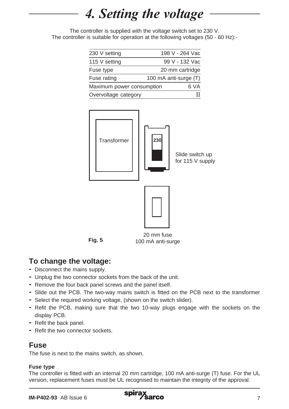## 4. Setting the voltage

The controller is supplied with the voltage switch set to 230 V. The controller is suitable for operation at the following voltages (50 - 60 Hz):-

| 230 V setting             | 198 V - 264 Vac       |
|---------------------------|-----------------------|
| 115 V setting             | 99 V - 132 Vac        |
| Fuse type                 | 20 mm cartridge       |
| Fuse rating               | 100 mA anti-surge (T) |
| Maximum power consumption | 6 VA                  |
| Overvoltage category      |                       |



### **To change the voltage:**

- **-** Disconnect the mains supply.
- **-** Unplug the two connector sockets from the back of the unit.
- **-** Remove the four back panel screws and the panel itself.
- **-** Slide out the PCB. The two-way mains switch is fitted on the PCB next to the transformer
- **-** Select the required working voltage, (shown on the switch slider).
- **-** Refit the PCB, making sure that the two 10-way plugs engage with the sockets on the display PCB.
- **-** Refit the back panel.
- **-** Refit the two connector sockets.

#### **Fuse**

The fuse is next to the mains switch, as shown.

#### **Fuse type**

The controller is fitted with an internal 20 mm cartridge, 100 mA anti-surge (T) fuse. For the UL version, replacement fuses must be UL recognised to maintain the integrity of the approval.

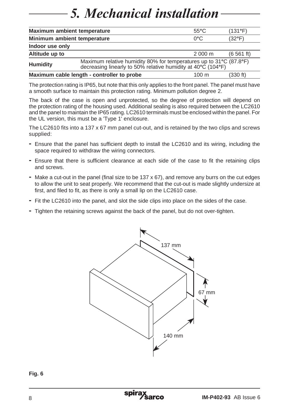## **5. Mechanical installation**

| Maximum ambient temperature                                                                                                                    |  | $55^{\circ}$ C   | (131°F)         |
|------------------------------------------------------------------------------------------------------------------------------------------------|--|------------------|-----------------|
| Minimum ambient temperature                                                                                                                    |  | 0°C              | $(32^{\circ}F)$ |
| Indoor use only                                                                                                                                |  |                  |                 |
| Altitude up to                                                                                                                                 |  | $2000 \text{ m}$ | (6, 561, ft)    |
| Maximum relative humidity 80% for temperatures up to 31°C (87.8°F)<br>Humidity<br>decreasing linearly to 50% relative humidity at 40°C (104°F) |  |                  |                 |
| Maximum cable length - controller to probe<br>$100 \text{ m}$                                                                                  |  |                  | (330 ft)        |

The protection rating is IP65, but note that this only applies to the front panel. The panel must have a smooth surface to maintain this protection rating. Minimum pollution degree 2.

The back of the case is open and unprotected, so the degree of protection will depend on the protection rating of the housing used. Additional sealing is also required between the LC2610 and the panel to maintain the IP65 rating. LC2610 terminals must be enclosed within the panel. For the UL version, this must be a 'Type 1' enclosure.

The LC2610 fits into a 137 x 67 mm panel cut-out, and is retained by the two clips and screws supplied:

- **-** Ensure that the panel has sufficient depth to install the LC2610 and its wiring, including the space required to withdraw the wiring connectors.
- **-** Ensure that there is sufficient clearance at each side of the case to fit the retaining clips and screws.
- **-** Make a cut-out in the panel (final size to be 137 x 67), and remove any burrs on the cut edges to allow the unit to seat properly. We recommend that the cut-out is made slightly undersize at first, and filed to fit, as there is only a small lip on the LC2610 case.
- **-** Fit the LC2610 into the panel, and slot the side clips into place on the sides of the case.
- **-** Tighten the retaining screws against the back of the panel, but do not over-tighten.



#### **Fig. 6**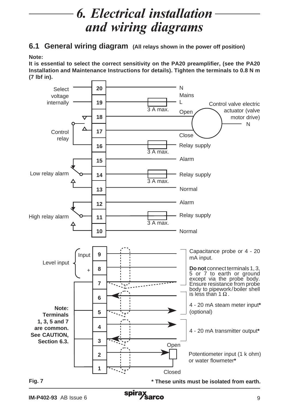## **6. Electrical installation** and wiring diagrams

**6.1 General wiring diagram (All relays shown in the power off position)**

**Note:**

**It is essential to select the correct sensitivity on the PA20 preamplifier, (see the PA20 Installation and Maintenance Instructions for details). Tighten the terminals to 0.8 N m (7 lbf in).**

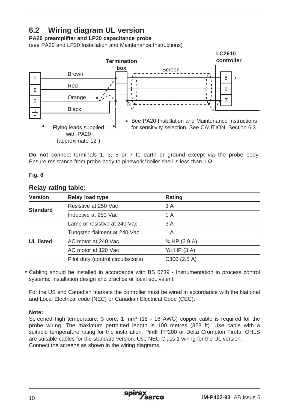### **6.2 Wiring diagram UL version**

**PA20 preamplifier and LP20 capacitance probe**

(see PA20 and LP20 Installation and Maintenance Instructions)



**Do not** connect terminals 1, 3, 5 or 7 to earth or ground except via the probe body. Ensure resistance from probe body to pipework/boiler shell is less than 1  $\Omega$ .

#### **Fig. 8**

#### **Relay rating table:**

| <b>Version</b>   | Relay load type                     | Rating                   |  |
|------------------|-------------------------------------|--------------------------|--|
| <b>Standard</b>  | Resistive at 250 Vac                | 3 A                      |  |
|                  | Inductive at 250 Vac                | 1 A                      |  |
| <b>UL listed</b> | Lamp or resistive at 240 Vac        | 3 A                      |  |
|                  | Tungsten fialment at 240 Vac        | 1 A                      |  |
|                  | AC motor at 240 Vac                 | $\frac{1}{4}$ HP (2.9 A) |  |
|                  | AC motor at 120 Vac                 | $1/10$ HP $(3 A)$        |  |
|                  | Pilot duty (control circuits/coils) | $C300$ (2.5 A)           |  |

Cabling should be installed in accordance with BS 6739 - Instrumentation in process control **\*** systems: Installation design and practice or local equivalent.

For the US and Canadian markets the controller must be wired in accordance with the National and Local Electrical code (NEC) or Canadian Electrical Code (CEC).

#### **Note:**

Screened high temperature, 3 core, 1 mm**²** (18 - 16 AWG) copper cable is required for the probe wiring. The maximum permitted length is 100 metres (328 ft). Use cable with a suitable temperature rating for the installation. Pirelli FP200 or Delta Crompton Firetuf OHLS are suitable cables for the standard version. Use NEC Class 1 wiring for the UL version. Connect the screens as shown in the wiring diagrams.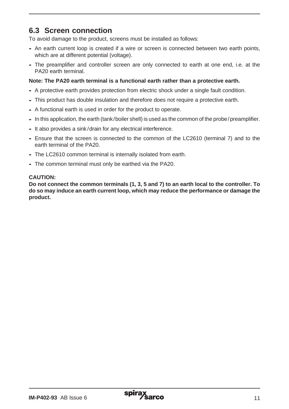#### **6.3 Screen connection**

To avoid damage to the product, screens must be installed as follows:

- **-** An earth current loop is created if a wire or screen is connected between two earth points, which are at different potential (voltage).
- **-** The preamplifier and controller screen are only connected to earth at one end, i.e. at the PA20 earth terminal.

#### **Note: The PA20 earth terminal is a functional earth rather than a protective earth.**

- **-** A protective earth provides protection from electric shock under a single fault condition.
- **-** This product has double insulation and therefore does not require a protective earth.
- **-** A functional earth is used in order for the product to operate.
- **-** In this application, the earth (tank/boiler shell) is used as the common of the probe/preamplifier.
- **-** It also provides a sink /drain for any electrical interference.
- **-** Ensure that the screen is connected to the common of the LC2610 (terminal 7) and to the earth terminal of the PA20.
- **-** The LC2610 common terminal is internally isolated from earth.
- **-** The common terminal must only be earthed via the PA20.

#### **CAUTION:**

**Do not connect the common terminals (1, 3, 5 and 7) to an earth local to the controller. To do so may induce an earth current loop, which may reduce the performance or damage the product.**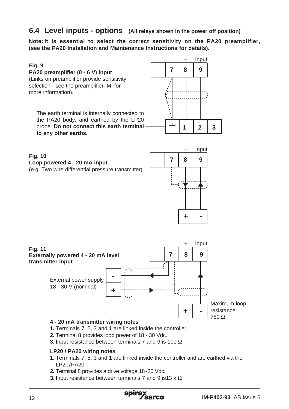#### **6.4 Level inputs - options (All relays shown in the power off position)**

**Note: It is essential to select the correct sensitivity on the PA20 preamplifier, (see the PA20 Installation and Maintenance Instructions for details).**



- **2.** Terminal 8 provides loop power of 18 30 Vdc.
- **3.** Input resistance between terminals 7 and 9 is 100  $\Omega$ .

#### **LP20 / PA20 wiring notes**

- **1.** Terminals 7, 5, 3 and 1 are linked inside the controller and are earthed via the LP20/PA20.
- **2.** Terminal 8 provides a drive voltage 18-30 Vdc.
- **3.** Input resistance between terminals 7 and 9 is 13 k  $\Omega$ .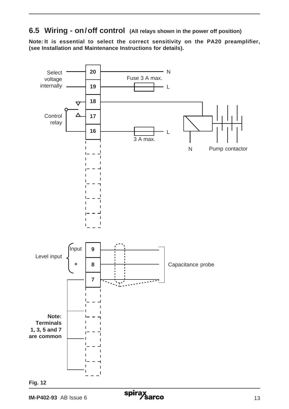**6.5 Wiring - on/off control (All relays shown in the power off position)**

**Note: It is essential to select the correct sensitivity on the PA20 preamplifier, (see Installation and Maintenance Instructions for details).**



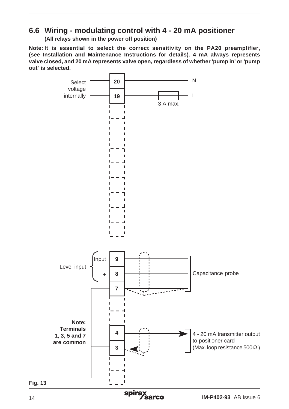### **6.6 Wiring - modulating control with 4 - 20 mA positioner**

**(All relays shown in the power off position)**

**Note: It is essential to select the correct sensitivity on the PA20 preamplifier, (see Installation and Maintenance Instructions for details). 4 mA always represents valve closed, and 20 mA represents valve open, regardless of whether 'pump in' or 'pump out' is selected.**

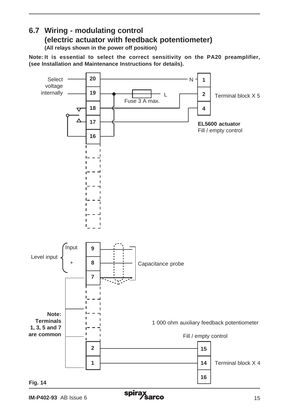### **6.7 Wiring - modulating control (electric actuator with feedback potentiometer)**

**(All relays shown in the power off position)**

**Note: It is essential to select the correct sensitivity on the PA20 preamplifier, (see Installation and Maintenance Instructions for details).**

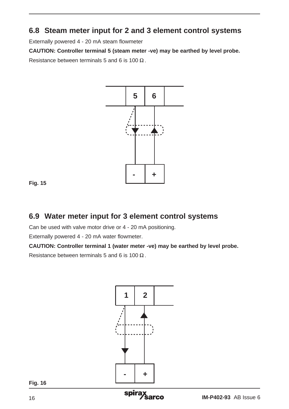#### **6.8 Steam meter input for 2 and 3 element control systems**

Externally powered 4 - 20 mA steam flowmeter

**CAUTION: Controller terminal 5 (steam meter -ve) may be earthed by level probe.** Resistance between terminals 5 and 6 is 100  $\Omega$ .





#### **6.9 Water meter input for 3 element control systems**

Can be used with valve motor drive or 4 - 20 mA positioning.

Externally powered 4 - 20 mA water flowmeter.

**CAUTION: Controller terminal 1 (water meter -ve) may be earthed by level probe.**

Resistance between terminals 5 and 6 is 100



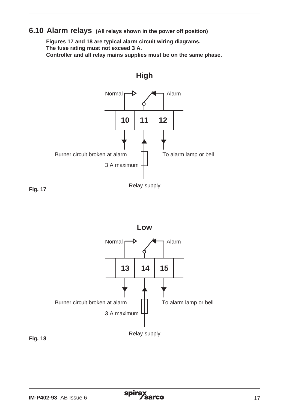#### **6.10 Alarm relays (All relays shown in the power off position)**

 **Figures 17 and 18 are typical alarm circuit wiring diagrams. The fuse rating must not exceed 3 A. Controller and all relay mains supplies must be on the same phase.**



**High**

**Fig. 17**



**Fig. 18**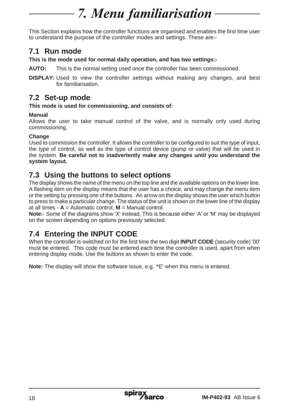## 7. Menu familiarisation

This Section explains how the controller functions are organised and enables the first time user to understand the purpose of the controller modes and settings. These are:-

#### **7.1 Run mode**

**This is the mode used for normal daily operation, and has two settings:-**

**AUTO:** This is the normal setting used once the controller has been commissioned.

**DISPLAY:** Used to view the controller settings without making any changes, and best for familiarisation.

#### **7.2 Set-up mode**

**This mode is used for commissioning, and consists of:**

#### **Manual**

Allows the user to take manual control of the valve, and is normally only used during commissioning.

#### **Change**

Used to commission the controller. It allows the controller to be configured to suit the type of input, the type of control, as well as the type of control device (pump or valve) that will be used in the system. **Be careful not to inadvertently make any changes until you understand the system layout.**

#### **7.3 Using the buttons to select options**

The display shows the name of the menu on the top line and the available options on the lower line. A flashing item on the display means that the user has a choice, and may change the menu item or the setting by pressing one of the buttons. An arrow on the display shows the user which button to press to make a particular change. The status of the unit is shown on the lower line of the display at all times  $-\mathbf{A} =$  Automatic control,  $\mathbf{M} =$  Manual control.

**Note:**- Some of the diagrams show 'X' instead. This is because either 'A' or 'M' may be displayed on the screen depending on options previously selected.

### **7.4 Entering the INPUT CODE**

When the controller is switched on for the first time the two digit **INPUT CODE** (security code) '00' must be entered. This code must be entered each time the controller is used, apart from when entering display mode. Use the buttons as shown to enter the code.

**Note:** The display will show the software issue, e.g. '\*E' when this menu is entered.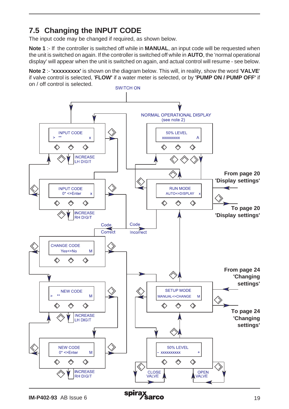### **7.5 Changing the INPUT CODE**

The input code may be changed if required, as shown below.

**Note 1** :- If the controller is switched off while in **MANUAL**, an input code will be requested when the unit is switched on again. If the controller is switched off while in **AUTO**, the 'normal operational display' will appear when the unit is switched on again, and actual control will resume - see below.

**Note 2** :- **'xxxxxxxxx'** is shown on the diagram below. This will, in reality, show the word '**VALVE**' if valve control is selected, '**FLOW'** if a water meter is selected, or by **'PUMP ON / PUMP OFF'** if on / off control is selected.

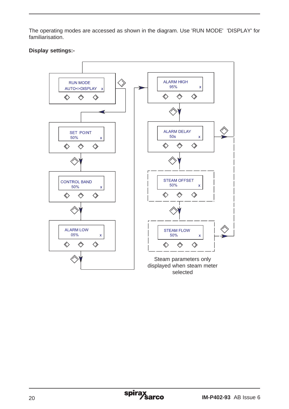The operating modes are accessed as shown in the diagram. Use 'RUN MODE' 'DISPLAY' for familiarisation.

#### **Display settings:-**

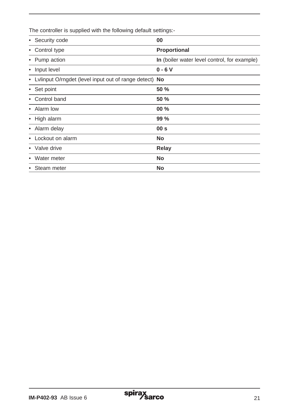The controller is supplied with the following default settings:-

| • Security code                                          | 00                                           |
|----------------------------------------------------------|----------------------------------------------|
| • Control type                                           | Proportional                                 |
| • Pump action                                            | In (boiler water level control, for example) |
| • Input level                                            | $0 - 6V$                                     |
| • Lylinput O/rngdet (level input out of range detect) No |                                              |
| • Set point                                              | 50 %                                         |
| Control band                                             | 50 %                                         |
| • Alarm low                                              | $00\%$                                       |
| • High alarm                                             | 99%                                          |
| • Alarm delay                                            | 00 <sub>s</sub>                              |
| • Lockout on alarm                                       | No                                           |
| • Valve drive                                            | Relay                                        |
| Water meter<br>٠                                         | <b>No</b>                                    |
| • Steam meter                                            | No                                           |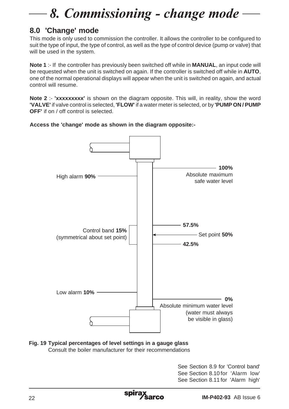# 8. Commissioning - change mode

### **8.0 'Change' mode**

This mode is only used to commission the controller. It allows the controller to be configured to suit the type of input, the type of control, as well as the type of control device (pump or valve) that will be used in the system.

**Note 1** :- If the controller has previously been switched off while in **MANUAL**, an input code will be requested when the unit is switched on again. If the controller is switched off while in **AUTO**, one of the normal operational displays will appear when the unit is switched on again, and actual control will resume.

**Note 2** :- **'xxxxxxxxx'** is shown on the diagram opposite. This will, in reality, show the word **'VALVE'** if valve control is selected, **'FLOW'** if a water meter is selected, or by **'PUMP ON / PUMP OFF'** if on / off control is selected.





#### **Fig. 19 Typical percentages of level settings in a gauge glass** Consult the boiler manufacturer for their recommendations

See Section 8.9 for 'Control band' See Section 8.10 for 'Alarm low' See Section 8.11 for 'Alarm high'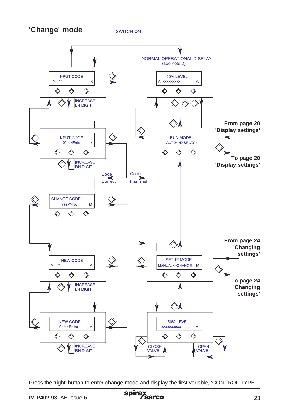

Press the 'right' button to enter change mode and display the first variable, 'CONTROL TYPE'.

**IM-P402-93** AB Issue 6 **Spirax Series 323**<br> **IM-P402-93** AB Issue 6 23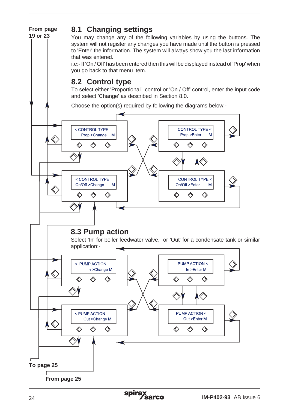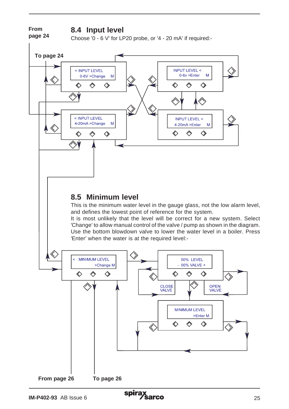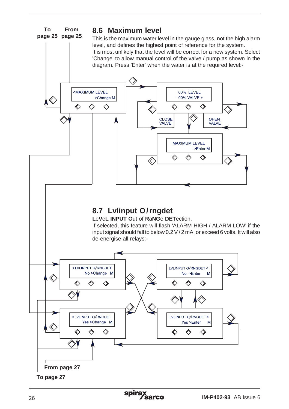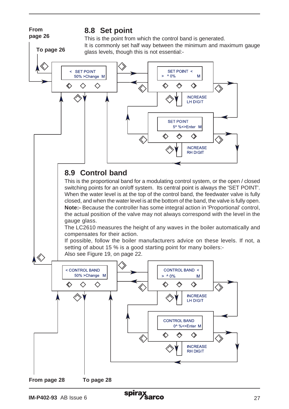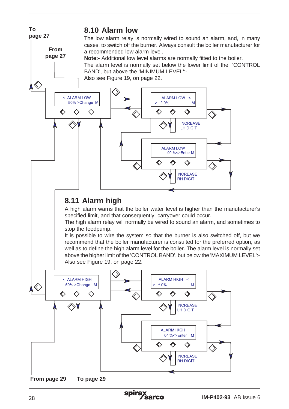

**From page 29 To page 29**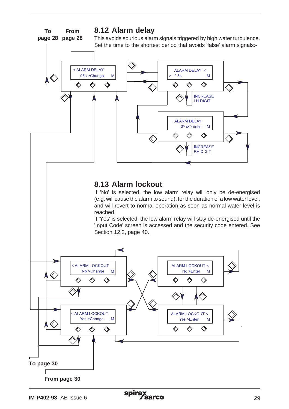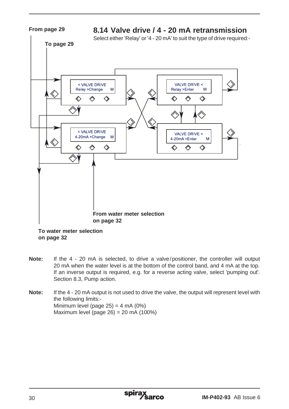

**To water meter selection on page 32**

- **Note:** If the 4 20 mA is selected, to drive a valve/positioner, the controller will output 20 mA when the water level is at the bottom of the control band, and 4 mA at the top. If an inverse output is required, e.g. for a reverse acting valve, select 'pumping out'. Section 8.3, Pump action.
- **Note:** If the 4 20 mA output is not used to drive the valve, the output will represent level with the following limits:- Minimum level (page  $25$ ) = 4 mA (0%) Maximum level (page 26) = 20 mA (100%)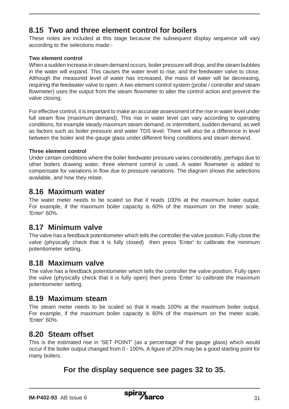#### **8.15 Two and three element control for boilers**

These notes are included at this stage because the subsequent display sequence will vary according to the selections made:-

#### **Two element control**

When a sudden increase in steam demand occurs, boiler pressure will drop, and the steam bubbles in the water will expand. This causes the water level to rise, and the feedwater valve to close. Although the measured level of water has increased, the mass of water will be decreasing, requiring the feedwater valve to open. A two element control system (probe / controller and steam flowmeter) uses the output from the steam flowmeter to alter the control action and prevent the valve closing.

For effective control, it is important to make an accurate assessment of the rise in water level under full steam flow (maximum demand). This rise in water level can vary according to operating conditions, for example steady maximum steam demand, or intermittent, sudden demand, as well as factors such as boiler pressure and water TDS level. There will also be a difference in level between the boiler and the gauge glass under different firing conditions and steam demand.

#### **Three element control**

Under certain conditions where the boiler feedwater pressure varies considerably, perhaps due to other boilers drawing water, three element control is used. A water flowmeter is added to compensate for variations in flow due to pressure variations. The diagram shows the selections available, and how they relate.

#### **8.16 Maximum water**

The water meter needs to be scaled so that it reads 100% at the maximum boiler output. For example, if the maximum boiler capacity is 60% of the maximum on the meter scale, 'Enter' 60%.

#### **8.17 Minimum valve**

The valve has a feedback potentiometer which tells the controller the valve position. Fully close the valve (physically check that it is fully closed) then press 'Enter' to calibrate the minimum potentiometer setting.

#### **8.18 Maximum valve**

The valve has a feedback potentiometer which tells the controller the valve position. Fully open the valve (physically check that it is fully open) then press 'Enter' to calibrate the maximum potentiometer setting.

#### **8.19 Maximum steam**

The steam meter needs to be scaled so that it reads 100% at the maximum boiler output. For example, if the maximum boiler capacity is 60% of the maximum on the meter scale, 'Enter' 60%.

#### **8.20 Steam offset**

This is the estimated rise in 'SET POINT' (as a percentage of the gauge glass) which would occur if the boiler output changed from 0 - 100%. A figure of 20% may be a good starting point for many boilers.

#### **For the display sequence see pages 32 to 35.**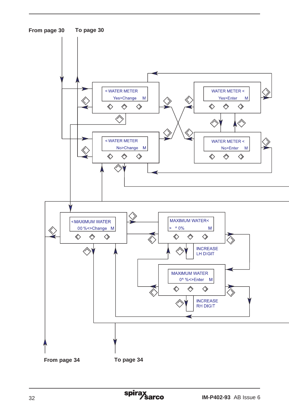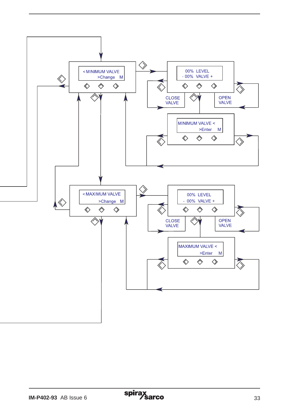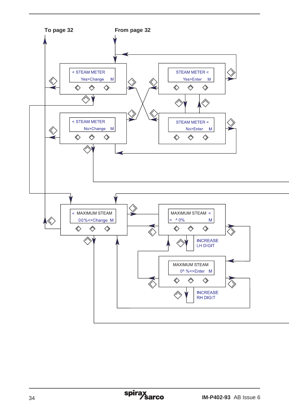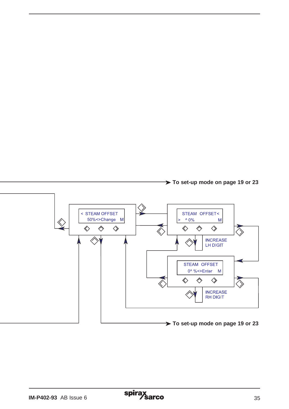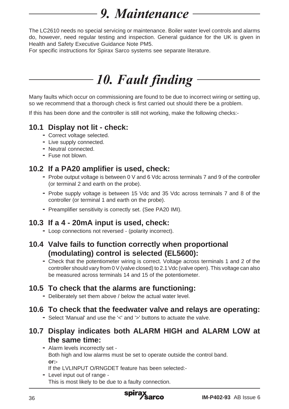## 9. Maintenance

The LC2610 needs no special servicing or maintenance. Boiler water level controls and alarms do, however, need regular testing and inspection. General guidance for the UK is given in Health and Safety Executive Guidance Note PM5.

For specific instructions for Spirax Sarco systems see separate literature.

## *10. Fault finding*

Many faults which occur on commissioning are found to be due to incorrect wiring or setting up, so we recommend that a thorough check is first carried out should there be a problem.

If this has been done and the controller is still not working, make the following checks:-

## **10.1 Display not lit - check: -** Correct voltage selected.

- 
- **-** Live supply connected.
- **-** Neutral connected.
- **-** Fuse not blown.

- **10.2 If a PA20 amplifier is used, check: -** Probe output voltage is between 0 V and 6 Vdc across terminals 7 and 9 of the controller (or terminal 2 and earth on the probe).
	- **-** Probe supply voltage is between 15 Vdc and 35 Vdc across terminals 7 and 8 of the controller (or terminal 1 and earth on the probe).
	- **-** Preamplifier sensitivity is correctly set. (See PA20 IMI).

## **10.3 If a 4 - 20mA input is used, check: -** Loop connections not reversed - (polarity incorrect).

- 
- **10.4 Valve fails to function correctly when proportional (modulating) control is selected (EL5600):**
	- **-** Check that the potentiometer wiring is correct. Voltage across terminals 1 and 2 of the controller should vary from 0 V (valve closed) to 2.1 Vdc (valve open). This voltage can also be measured across terminals 14 and 15 of the potentiometer.

## **10.5 To check that the alarms are functioning: -** Deliberately set them above / below the actual water level.

## **10.6 To check that the feedwater valve and relays are operating: -** Select 'Manual' and use the '<' and '>' buttons to actuate the valve.

#### **10.7 Display indicates both ALARM HIGH and ALARM LOW at the same time:**

**-** Alarm levels incorrectly set - Both high and low alarms must be set to operate outside the control band. **or:-** If the LVLINPUT O/RNGDET feature has been selected:-

**-** Level input out of range - This is most likely to be due to a faulty connection.

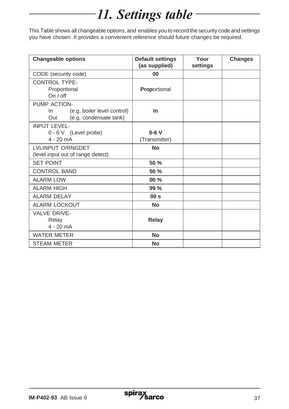## 11. Settings table

This Table shows all changeable options, and enables you to record the security code and settings you have chosen. It provides a convenient reference should future changes be required.

| <b>Changeable options</b>                                          | <b>Default settings</b><br>(as supplied) | Your<br>settings | <b>Changes</b> |
|--------------------------------------------------------------------|------------------------------------------|------------------|----------------|
| CODE (security code)                                               | 00                                       |                  |                |
| <b>CONTROL TYPE-</b>                                               |                                          |                  |                |
| Proportional<br>On / off                                           | Proportional                             |                  |                |
| PUMP ACTION-                                                       |                                          |                  |                |
| (e.g. boiler level control)<br>In<br>(e.g. condensate tank)<br>Out | In                                       |                  |                |
| <b>INPUT LEVEL-</b>                                                |                                          |                  |                |
| 0 - 6 V (Level probe)                                              | $0-6V$                                   |                  |                |
| $4 - 20$ mA                                                        | (Transmitter)                            |                  |                |
| <b>LVLINPUT O/RNGDET</b>                                           | No                                       |                  |                |
| (level input out of range detect)                                  |                                          |                  |                |
| <b>SET POINT</b>                                                   | 50 %                                     |                  |                |
| <b>CONTROL BAND</b>                                                | 50 %                                     |                  |                |
| <b>ALARM LOW</b>                                                   | $00\%$                                   |                  |                |
| <b>ALARM HIGH</b>                                                  | 99%                                      |                  |                |
| <b>ALARM DELAY</b>                                                 | 00 <sub>s</sub>                          |                  |                |
| <b>ALARM LOCKOUT</b>                                               | <b>No</b>                                |                  |                |
| VAI VF DRIVE-                                                      |                                          |                  |                |
| Relay                                                              | Relay                                    |                  |                |
| $4 - 20$ mA                                                        |                                          |                  |                |
| <b>WATER METER</b>                                                 | <b>No</b>                                |                  |                |
| <b>STEAM METER</b>                                                 | <b>No</b>                                |                  |                |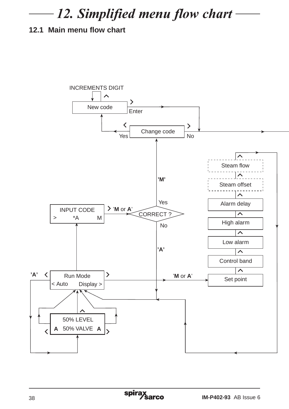## 12. Simplified menu flow chart

### **12.1 Main menu flow chart**

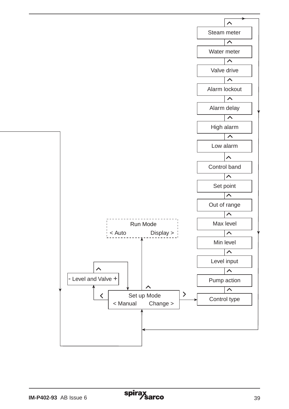